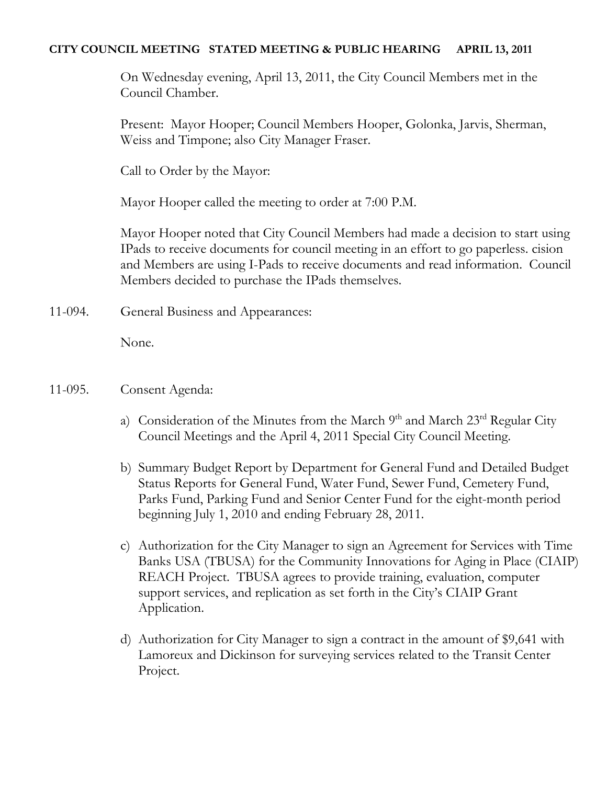### **CITY COUNCIL MEETING STATED MEETING & PUBLIC HEARING APRIL 13, 2011**

On Wednesday evening, April 13, 2011, the City Council Members met in the Council Chamber.

Present: Mayor Hooper; Council Members Hooper, Golonka, Jarvis, Sherman, Weiss and Timpone; also City Manager Fraser.

Call to Order by the Mayor:

Mayor Hooper called the meeting to order at 7:00 P.M.

Mayor Hooper noted that City Council Members had made a decision to start using IPads to receive documents for council meeting in an effort to go paperless. cision and Members are using I-Pads to receive documents and read information. Council Members decided to purchase the IPads themselves.

11-094. General Business and Appearances:

None.

- 11-095. Consent Agenda:
	- a) Consideration of the Minutes from the March  $9<sup>th</sup>$  and March  $23<sup>rd</sup>$  Regular City Council Meetings and the April 4, 2011 Special City Council Meeting.
	- b) Summary Budget Report by Department for General Fund and Detailed Budget Status Reports for General Fund, Water Fund, Sewer Fund, Cemetery Fund, Parks Fund, Parking Fund and Senior Center Fund for the eight-month period beginning July 1, 2010 and ending February 28, 2011.
	- c) Authorization for the City Manager to sign an Agreement for Services with Time Banks USA (TBUSA) for the Community Innovations for Aging in Place (CIAIP) REACH Project. TBUSA agrees to provide training, evaluation, computer support services, and replication as set forth in the City's CIAIP Grant Application.
	- d) Authorization for City Manager to sign a contract in the amount of \$9,641 with Lamoreux and Dickinson for surveying services related to the Transit Center Project.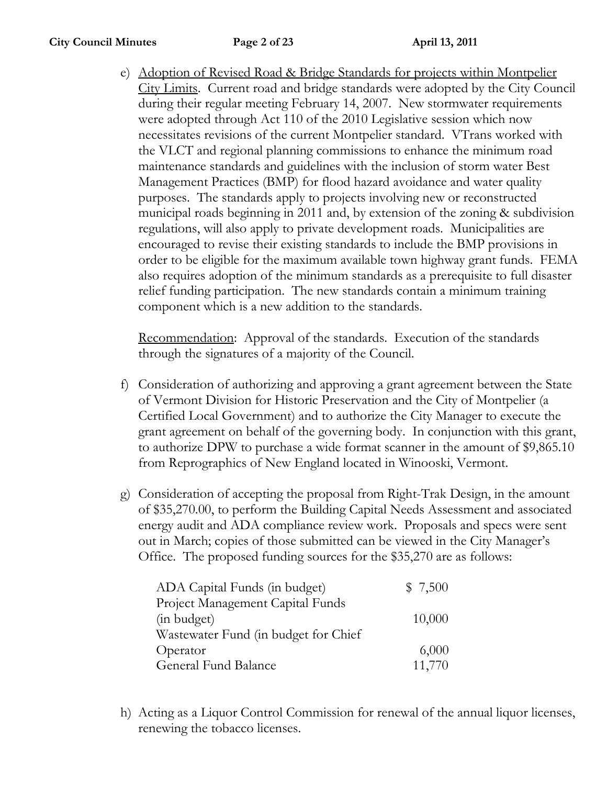e) Adoption of Revised Road & Bridge Standards for projects within Montpelier City Limits. Current road and bridge standards were adopted by the City Council during their regular meeting February 14, 2007. New stormwater requirements were adopted through Act 110 of the 2010 Legislative session which now necessitates revisions of the current Montpelier standard. VTrans worked with the VLCT and regional planning commissions to enhance the minimum road maintenance standards and guidelines with the inclusion of storm water Best Management Practices (BMP) for flood hazard avoidance and water quality purposes. The standards apply to projects involving new or reconstructed municipal roads beginning in 2011 and, by extension of the zoning & subdivision regulations, will also apply to private development roads. Municipalities are encouraged to revise their existing standards to include the BMP provisions in order to be eligible for the maximum available town highway grant funds. FEMA also requires adoption of the minimum standards as a prerequisite to full disaster relief funding participation. The new standards contain a minimum training component which is a new addition to the standards.

Recommendation: Approval of the standards. Execution of the standards through the signatures of a majority of the Council.

- f) Consideration of authorizing and approving a grant agreement between the State of Vermont Division for Historic Preservation and the City of Montpelier (a Certified Local Government) and to authorize the City Manager to execute the grant agreement on behalf of the governing body. In conjunction with this grant, to authorize DPW to purchase a wide format scanner in the amount of \$9,865.10 from Reprographics of New England located in Winooski, Vermont.
- g) Consideration of accepting the proposal from Right-Trak Design, in the amount of \$35,270.00, to perform the Building Capital Needs Assessment and associated energy audit and ADA compliance review work. Proposals and specs were sent out in March; copies of those submitted can be viewed in the City Manager's Office. The proposed funding sources for the \$35,270 are as follows:

| ADA Capital Funds (in budget)        | \$7,500 |
|--------------------------------------|---------|
| Project Management Capital Funds     |         |
| (in budget)                          | 10,000  |
| Wastewater Fund (in budget for Chief |         |
| Operator                             | 6,000   |
| General Fund Balance                 | 11,770  |

h) Acting as a Liquor Control Commission for renewal of the annual liquor licenses, renewing the tobacco licenses.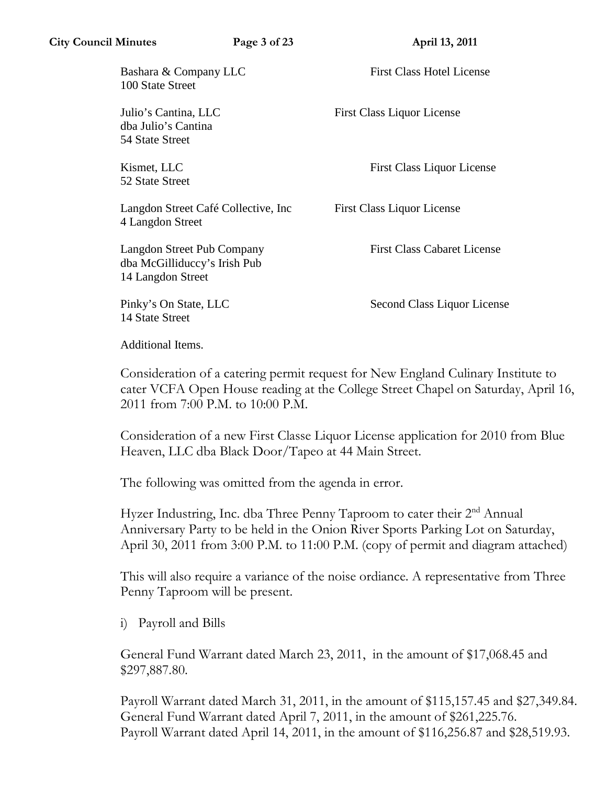Bashara & Company LLC First Class Hotel License 100 State Street

dba Julio's Cantina 54 State Street

52 State Street

Langdon Street Café Collective, Inc First Class Liquor License 4 Langdon Street

Langdon Street Pub Company First Class Cabaret License dba McGilliduccy's Irish Pub 14 Langdon Street

14 State Street

Julio's Cantina, LLC First Class Liquor License

Kismet, LLC First Class Liquor License

Pinky's On State, LLC Second Class Liquor License

Additional Items.

Consideration of a catering permit request for New England Culinary Institute to cater VCFA Open House reading at the College Street Chapel on Saturday, April 16, 2011 from 7:00 P.M. to 10:00 P.M.

Consideration of a new First Classe Liquor License application for 2010 from Blue Heaven, LLC dba Black Door/Tapeo at 44 Main Street.

The following was omitted from the agenda in error.

Hyzer Industring, Inc. dba Three Penny Taproom to cater their 2<sup>nd</sup> Annual Anniversary Party to be held in the Onion River Sports Parking Lot on Saturday, April 30, 2011 from 3:00 P.M. to 11:00 P.M. (copy of permit and diagram attached)

This will also require a variance of the noise ordiance. A representative from Three Penny Taproom will be present.

i) Payroll and Bills

General Fund Warrant dated March 23, 2011, in the amount of \$17,068.45 and \$297,887.80.

Payroll Warrant dated March 31, 2011, in the amount of \$115,157.45 and \$27,349.84. General Fund Warrant dated April 7, 2011, in the amount of \$261,225.76. Payroll Warrant dated April 14, 2011, in the amount of \$116,256.87 and \$28,519.93.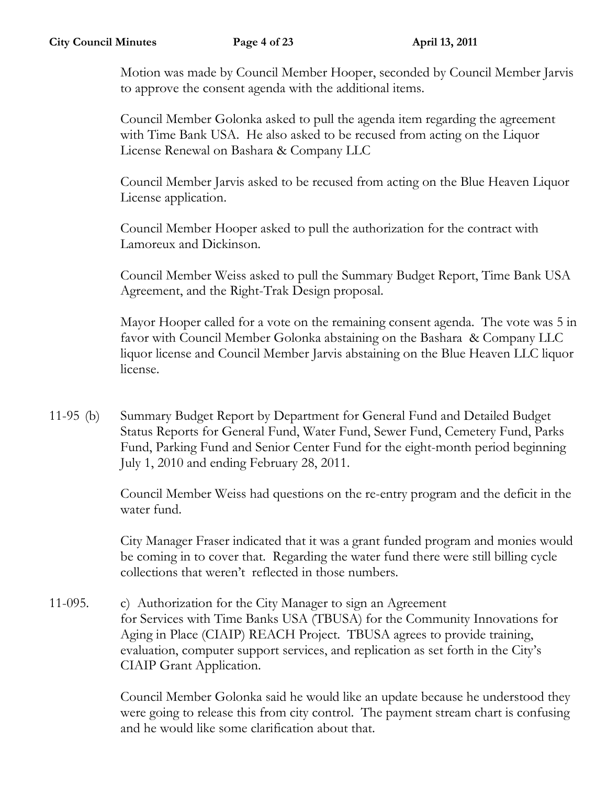Motion was made by Council Member Hooper, seconded by Council Member Jarvis to approve the consent agenda with the additional items.

Council Member Golonka asked to pull the agenda item regarding the agreement with Time Bank USA. He also asked to be recused from acting on the Liquor License Renewal on Bashara & Company LLC

Council Member Jarvis asked to be recused from acting on the Blue Heaven Liquor License application.

Council Member Hooper asked to pull the authorization for the contract with Lamoreux and Dickinson.

Council Member Weiss asked to pull the Summary Budget Report, Time Bank USA Agreement, and the Right-Trak Design proposal.

Mayor Hooper called for a vote on the remaining consent agenda. The vote was 5 in favor with Council Member Golonka abstaining on the Bashara & Company LLC liquor license and Council Member Jarvis abstaining on the Blue Heaven LLC liquor license.

11-95 (b) Summary Budget Report by Department for General Fund and Detailed Budget Status Reports for General Fund, Water Fund, Sewer Fund, Cemetery Fund, Parks Fund, Parking Fund and Senior Center Fund for the eight-month period beginning July 1, 2010 and ending February 28, 2011.

> Council Member Weiss had questions on the re-entry program and the deficit in the water fund.

> City Manager Fraser indicated that it was a grant funded program and monies would be coming in to cover that. Regarding the water fund there were still billing cycle collections that weren't reflected in those numbers.

11-095. c) Authorization for the City Manager to sign an Agreement for Services with Time Banks USA (TBUSA) for the Community Innovations for Aging in Place (CIAIP) REACH Project. TBUSA agrees to provide training, evaluation, computer support services, and replication as set forth in the City's CIAIP Grant Application.

> Council Member Golonka said he would like an update because he understood they were going to release this from city control. The payment stream chart is confusing and he would like some clarification about that.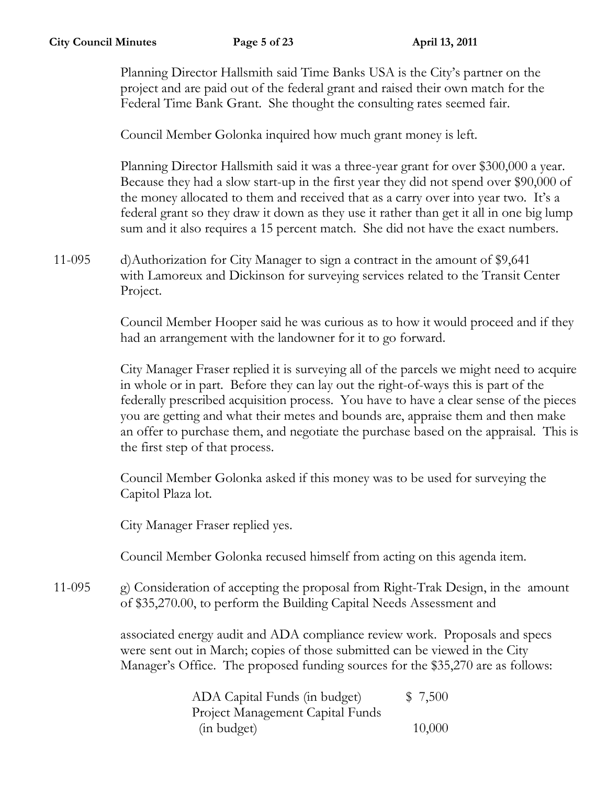Planning Director Hallsmith said Time Banks USA is the City's partner on the project and are paid out of the federal grant and raised their own match for the Federal Time Bank Grant. She thought the consulting rates seemed fair.

Council Member Golonka inquired how much grant money is left.

Planning Director Hallsmith said it was a three-year grant for over \$300,000 a year. Because they had a slow start-up in the first year they did not spend over \$90,000 of the money allocated to them and received that as a carry over into year two. It's a federal grant so they draw it down as they use it rather than get it all in one big lump sum and it also requires a 15 percent match. She did not have the exact numbers.

11-095 d)Authorization for City Manager to sign a contract in the amount of \$9,641 with Lamoreux and Dickinson for surveying services related to the Transit Center Project.

> Council Member Hooper said he was curious as to how it would proceed and if they had an arrangement with the landowner for it to go forward.

City Manager Fraser replied it is surveying all of the parcels we might need to acquire in whole or in part. Before they can lay out the right-of-ways this is part of the federally prescribed acquisition process. You have to have a clear sense of the pieces you are getting and what their metes and bounds are, appraise them and then make an offer to purchase them, and negotiate the purchase based on the appraisal. This is the first step of that process.

Council Member Golonka asked if this money was to be used for surveying the Capitol Plaza lot.

City Manager Fraser replied yes.

Council Member Golonka recused himself from acting on this agenda item.

11-095 g) Consideration of accepting the proposal from Right-Trak Design, in the amount of \$35,270.00, to perform the Building Capital Needs Assessment and

> associated energy audit and ADA compliance review work. Proposals and specs were sent out in March; copies of those submitted can be viewed in the City Manager's Office. The proposed funding sources for the \$35,270 are as follows:

| ADA Capital Funds (in budget)    | \$7,500 |
|----------------------------------|---------|
| Project Management Capital Funds |         |
| (in budget)                      | 10,000  |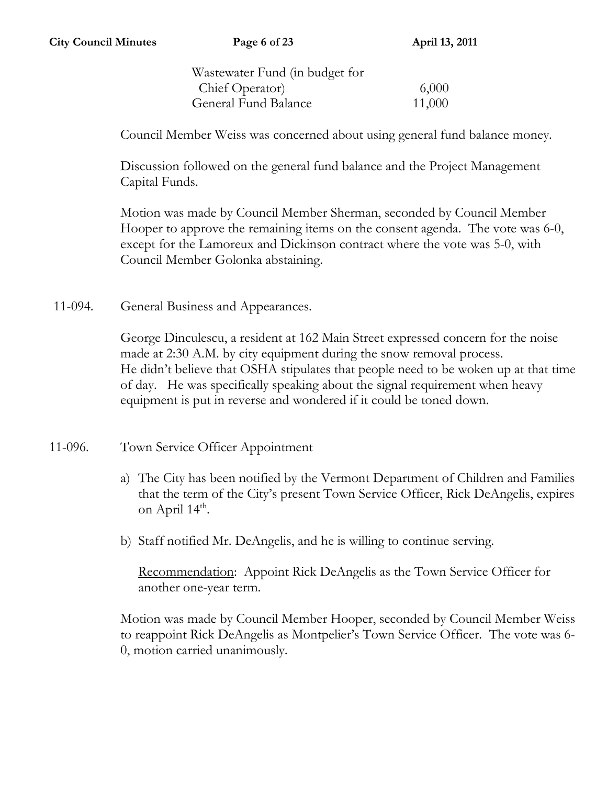Wastewater Fund (in budget for Chief Operator) 6,000 General Fund Balance 11,000

Council Member Weiss was concerned about using general fund balance money.

Discussion followed on the general fund balance and the Project Management Capital Funds.

Motion was made by Council Member Sherman, seconded by Council Member Hooper to approve the remaining items on the consent agenda. The vote was 6-0, except for the Lamoreux and Dickinson contract where the vote was 5-0, with Council Member Golonka abstaining.

11-094. General Business and Appearances.

George Dinculescu, a resident at 162 Main Street expressed concern for the noise made at 2:30 A.M. by city equipment during the snow removal process. He didn't believe that OSHA stipulates that people need to be woken up at that time of day. He was specifically speaking about the signal requirement when heavy equipment is put in reverse and wondered if it could be toned down.

- 11-096. Town Service Officer Appointment
	- a) The City has been notified by the Vermont Department of Children and Families that the term of the City's present Town Service Officer, Rick DeAngelis, expires on April  $14^{\text{th}}$ .
	- b) Staff notified Mr. DeAngelis, and he is willing to continue serving.

Recommendation: Appoint Rick DeAngelis as the Town Service Officer for another one-year term.

Motion was made by Council Member Hooper, seconded by Council Member Weiss to reappoint Rick DeAngelis as Montpelier's Town Service Officer. The vote was 6- 0, motion carried unanimously.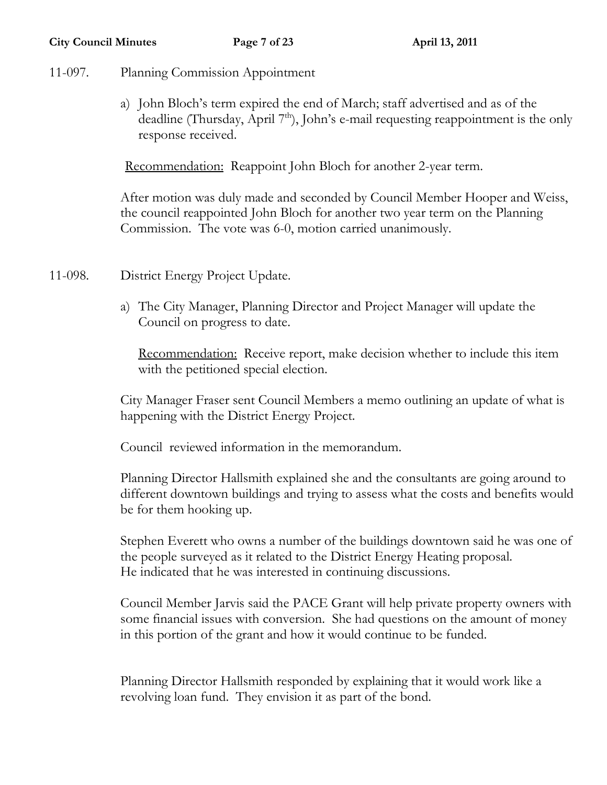- 11-097. Planning Commission Appointment
	- a) John Bloch's term expired the end of March; staff advertised and as of the deadline (Thursday, April  $7<sup>th</sup>$ ), John's e-mail requesting reappointment is the only response received.

Recommendation: Reappoint John Bloch for another 2-year term.

After motion was duly made and seconded by Council Member Hooper and Weiss, the council reappointed John Bloch for another two year term on the Planning Commission. The vote was 6-0, motion carried unanimously.

- 11-098. District Energy Project Update.
	- a) The City Manager, Planning Director and Project Manager will update the Council on progress to date.

Recommendation: Receive report, make decision whether to include this item with the petitioned special election.

City Manager Fraser sent Council Members a memo outlining an update of what is happening with the District Energy Project.

Council reviewed information in the memorandum.

Planning Director Hallsmith explained she and the consultants are going around to different downtown buildings and trying to assess what the costs and benefits would be for them hooking up.

Stephen Everett who owns a number of the buildings downtown said he was one of the people surveyed as it related to the District Energy Heating proposal. He indicated that he was interested in continuing discussions.

Council Member Jarvis said the PACE Grant will help private property owners with some financial issues with conversion. She had questions on the amount of money in this portion of the grant and how it would continue to be funded.

Planning Director Hallsmith responded by explaining that it would work like a revolving loan fund. They envision it as part of the bond.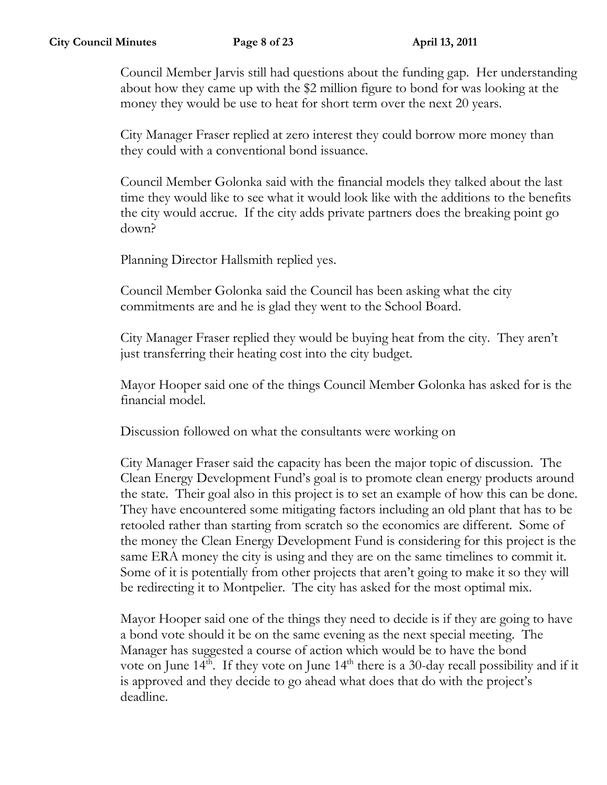Council Member Jarvis still had questions about the funding gap. Her understanding about how they came up with the \$2 million figure to bond for was looking at the money they would be use to heat for short term over the next 20 years.

City Manager Fraser replied at zero interest they could borrow more money than they could with a conventional bond issuance.

Council Member Golonka said with the financial models they talked about the last time they would like to see what it would look like with the additions to the benefits the city would accrue. If the city adds private partners does the breaking point go down?

Planning Director Hallsmith replied yes.

Council Member Golonka said the Council has been asking what the city commitments are and he is glad they went to the School Board.

City Manager Fraser replied they would be buying heat from the city. They aren't just transferring their heating cost into the city budget.

Mayor Hooper said one of the things Council Member Golonka has asked for is the financial model.

Discussion followed on what the consultants were working on

City Manager Fraser said the capacity has been the major topic of discussion. The Clean Energy Development Fund's goal is to promote clean energy products around the state. Their goal also in this project is to set an example of how this can be done. They have encountered some mitigating factors including an old plant that has to be retooled rather than starting from scratch so the economics are different. Some of the money the Clean Energy Development Fund is considering for this project is the same ERA money the city is using and they are on the same timelines to commit it. Some of it is potentially from other projects that aren't going to make it so they will be redirecting it to Montpelier. The city has asked for the most optimal mix.

Mayor Hooper said one of the things they need to decide is if they are going to have a bond vote should it be on the same evening as the next special meeting. The Manager has suggested a course of action which would be to have the bond vote on June  $14<sup>th</sup>$ . If they vote on June  $14<sup>th</sup>$  there is a 30-day recall possibility and if it is approved and they decide to go ahead what does that do with the project's deadline.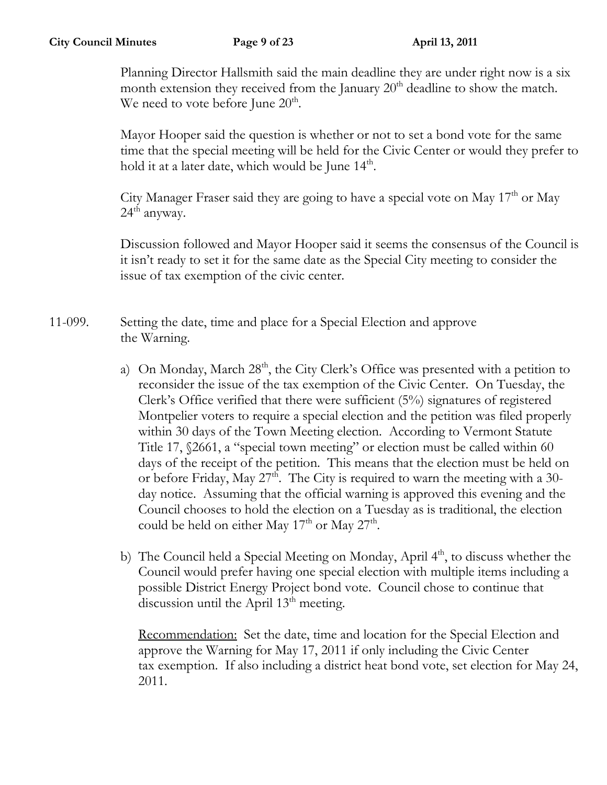Planning Director Hallsmith said the main deadline they are under right now is a six month extension they received from the January  $20<sup>th</sup>$  deadline to show the match. We need to vote before June  $20<sup>th</sup>$ .

Mayor Hooper said the question is whether or not to set a bond vote for the same time that the special meeting will be held for the Civic Center or would they prefer to hold it at a later date, which would be June  $14<sup>th</sup>$ .

City Manager Fraser said they are going to have a special vote on May  $17<sup>th</sup>$  or May  $24<sup>th</sup>$  anyway.

Discussion followed and Mayor Hooper said it seems the consensus of the Council is it isn't ready to set it for the same date as the Special City meeting to consider the issue of tax exemption of the civic center.

11-099. Setting the date, time and place for a Special Election and approve the Warning.

- a) On Monday, March 28<sup>th</sup>, the City Clerk's Office was presented with a petition to reconsider the issue of the tax exemption of the Civic Center. On Tuesday, the Clerk's Office verified that there were sufficient (5%) signatures of registered Montpelier voters to require a special election and the petition was filed properly within 30 days of the Town Meeting election. According to Vermont Statute Title 17, §2661, a "special town meeting" or election must be called within 60 days of the receipt of the petition. This means that the election must be held on or before Friday, May 27<sup>th</sup>. The City is required to warn the meeting with a 30day notice. Assuming that the official warning is approved this evening and the Council chooses to hold the election on a Tuesday as is traditional, the election could be held on either May  $17<sup>th</sup>$  or May  $27<sup>th</sup>$ .
- b) The Council held a Special Meeting on Monday, April  $4<sup>th</sup>$ , to discuss whether the Council would prefer having one special election with multiple items including a possible District Energy Project bond vote. Council chose to continue that discussion until the April 13<sup>th</sup> meeting.

Recommendation: Set the date, time and location for the Special Election and approve the Warning for May 17, 2011 if only including the Civic Center tax exemption. If also including a district heat bond vote, set election for May 24, 2011.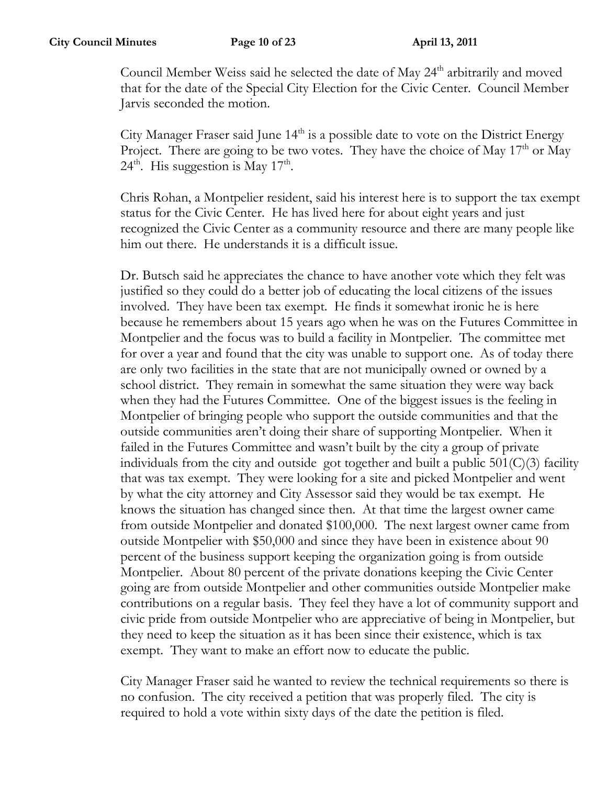Council Member Weiss said he selected the date of May 24<sup>th</sup> arbitrarily and moved that for the date of the Special City Election for the Civic Center. Council Member Jarvis seconded the motion.

City Manager Fraser said June  $14<sup>th</sup>$  is a possible date to vote on the District Energy Project. There are going to be two votes. They have the choice of May 17<sup>th</sup> or May  $24<sup>th</sup>$ . His suggestion is May  $17<sup>th</sup>$ .

Chris Rohan, a Montpelier resident, said his interest here is to support the tax exempt status for the Civic Center. He has lived here for about eight years and just recognized the Civic Center as a community resource and there are many people like him out there. He understands it is a difficult issue.

Dr. Butsch said he appreciates the chance to have another vote which they felt was justified so they could do a better job of educating the local citizens of the issues involved. They have been tax exempt. He finds it somewhat ironic he is here because he remembers about 15 years ago when he was on the Futures Committee in Montpelier and the focus was to build a facility in Montpelier. The committee met for over a year and found that the city was unable to support one. As of today there are only two facilities in the state that are not municipally owned or owned by a school district. They remain in somewhat the same situation they were way back when they had the Futures Committee. One of the biggest issues is the feeling in Montpelier of bringing people who support the outside communities and that the outside communities aren't doing their share of supporting Montpelier. When it failed in the Futures Committee and wasn't built by the city a group of private individuals from the city and outside got together and built a public  $501(\text{C})(3)$  facility that was tax exempt. They were looking for a site and picked Montpelier and went by what the city attorney and City Assessor said they would be tax exempt. He knows the situation has changed since then. At that time the largest owner came from outside Montpelier and donated \$100,000. The next largest owner came from outside Montpelier with \$50,000 and since they have been in existence about 90 percent of the business support keeping the organization going is from outside Montpelier. About 80 percent of the private donations keeping the Civic Center going are from outside Montpelier and other communities outside Montpelier make contributions on a regular basis. They feel they have a lot of community support and civic pride from outside Montpelier who are appreciative of being in Montpelier, but they need to keep the situation as it has been since their existence, which is tax exempt. They want to make an effort now to educate the public.

City Manager Fraser said he wanted to review the technical requirements so there is no confusion. The city received a petition that was properly filed. The city is required to hold a vote within sixty days of the date the petition is filed.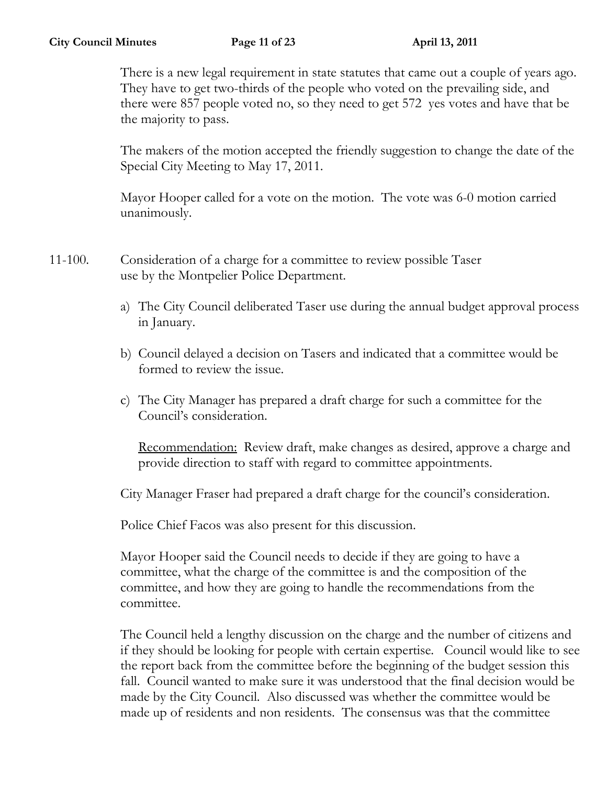There is a new legal requirement in state statutes that came out a couple of years ago. They have to get two-thirds of the people who voted on the prevailing side, and there were 857 people voted no, so they need to get 572 yes votes and have that be the majority to pass.

The makers of the motion accepted the friendly suggestion to change the date of the Special City Meeting to May 17, 2011.

Mayor Hooper called for a vote on the motion. The vote was 6-0 motion carried unanimously.

11-100. Consideration of a charge for a committee to review possible Taser use by the Montpelier Police Department.

- a) The City Council deliberated Taser use during the annual budget approval process in January.
- b) Council delayed a decision on Tasers and indicated that a committee would be formed to review the issue.
- c) The City Manager has prepared a draft charge for such a committee for the Council's consideration.

Recommendation: Review draft, make changes as desired, approve a charge and provide direction to staff with regard to committee appointments.

City Manager Fraser had prepared a draft charge for the council's consideration.

Police Chief Facos was also present for this discussion.

Mayor Hooper said the Council needs to decide if they are going to have a committee, what the charge of the committee is and the composition of the committee, and how they are going to handle the recommendations from the committee.

The Council held a lengthy discussion on the charge and the number of citizens and if they should be looking for people with certain expertise. Council would like to see the report back from the committee before the beginning of the budget session this fall. Council wanted to make sure it was understood that the final decision would be made by the City Council. Also discussed was whether the committee would be made up of residents and non residents. The consensus was that the committee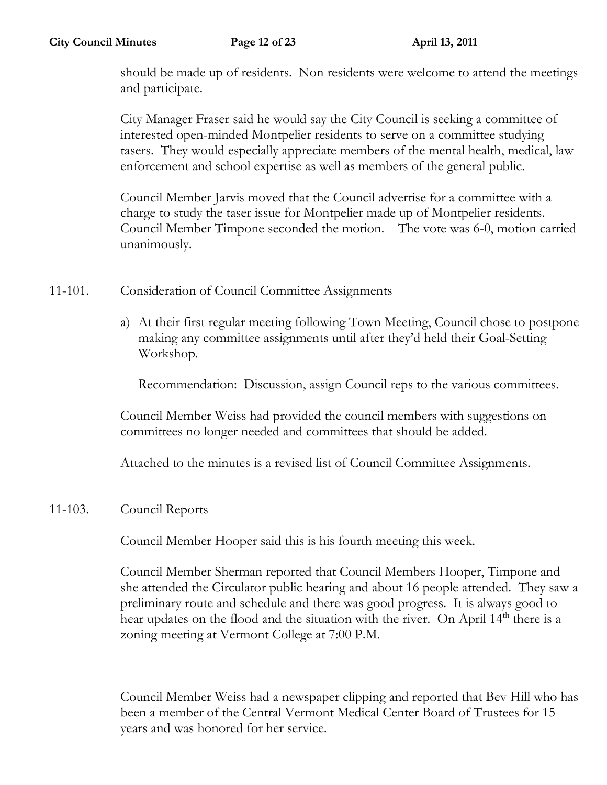should be made up of residents. Non residents were welcome to attend the meetings and participate.

City Manager Fraser said he would say the City Council is seeking a committee of interested open-minded Montpelier residents to serve on a committee studying tasers. They would especially appreciate members of the mental health, medical, law enforcement and school expertise as well as members of the general public.

Council Member Jarvis moved that the Council advertise for a committee with a charge to study the taser issue for Montpelier made up of Montpelier residents. Council Member Timpone seconded the motion. The vote was 6-0, motion carried unanimously.

- 11-101. Consideration of Council Committee Assignments
	- a) At their first regular meeting following Town Meeting, Council chose to postpone making any committee assignments until after they'd held their Goal-Setting Workshop.

Recommendation: Discussion, assign Council reps to the various committees.

Council Member Weiss had provided the council members with suggestions on committees no longer needed and committees that should be added.

Attached to the minutes is a revised list of Council Committee Assignments.

## 11-103. Council Reports

Council Member Hooper said this is his fourth meeting this week.

Council Member Sherman reported that Council Members Hooper, Timpone and she attended the Circulator public hearing and about 16 people attended. They saw a preliminary route and schedule and there was good progress. It is always good to hear updates on the flood and the situation with the river. On April 14<sup>th</sup> there is a zoning meeting at Vermont College at 7:00 P.M.

Council Member Weiss had a newspaper clipping and reported that Bev Hill who has been a member of the Central Vermont Medical Center Board of Trustees for 15 years and was honored for her service.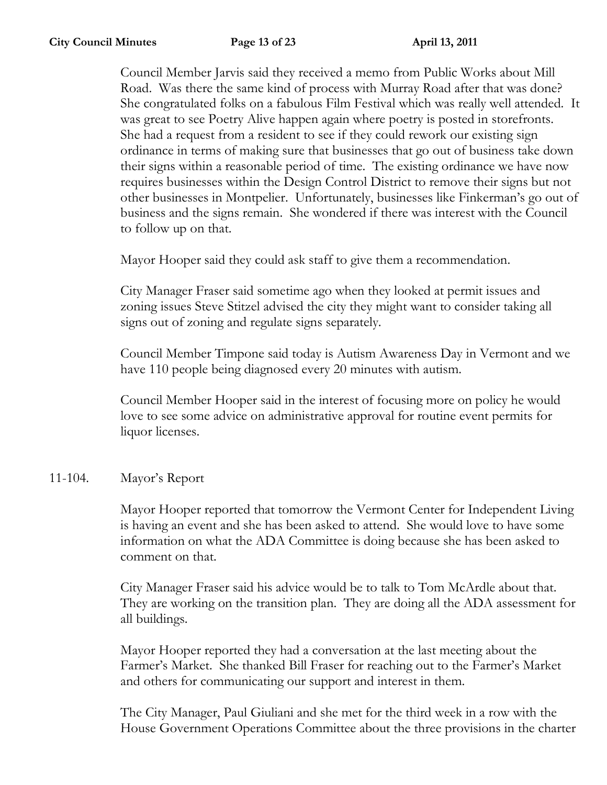Council Member Jarvis said they received a memo from Public Works about Mill Road. Was there the same kind of process with Murray Road after that was done? She congratulated folks on a fabulous Film Festival which was really well attended. It was great to see Poetry Alive happen again where poetry is posted in storefronts. She had a request from a resident to see if they could rework our existing sign ordinance in terms of making sure that businesses that go out of business take down their signs within a reasonable period of time. The existing ordinance we have now requires businesses within the Design Control District to remove their signs but not other businesses in Montpelier. Unfortunately, businesses like Finkerman's go out of business and the signs remain. She wondered if there was interest with the Council to follow up on that.

Mayor Hooper said they could ask staff to give them a recommendation.

City Manager Fraser said sometime ago when they looked at permit issues and zoning issues Steve Stitzel advised the city they might want to consider taking all signs out of zoning and regulate signs separately.

Council Member Timpone said today is Autism Awareness Day in Vermont and we have 110 people being diagnosed every 20 minutes with autism.

Council Member Hooper said in the interest of focusing more on policy he would love to see some advice on administrative approval for routine event permits for liquor licenses.

## 11-104. Mayor's Report

Mayor Hooper reported that tomorrow the Vermont Center for Independent Living is having an event and she has been asked to attend. She would love to have some information on what the ADA Committee is doing because she has been asked to comment on that.

City Manager Fraser said his advice would be to talk to Tom McArdle about that. They are working on the transition plan. They are doing all the ADA assessment for all buildings.

Mayor Hooper reported they had a conversation at the last meeting about the Farmer's Market. She thanked Bill Fraser for reaching out to the Farmer's Market and others for communicating our support and interest in them.

The City Manager, Paul Giuliani and she met for the third week in a row with the House Government Operations Committee about the three provisions in the charter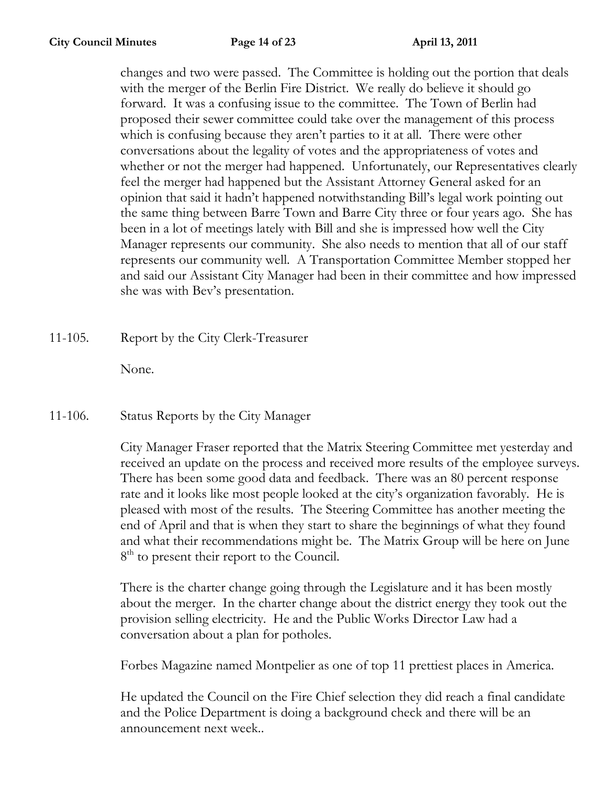changes and two were passed. The Committee is holding out the portion that deals with the merger of the Berlin Fire District. We really do believe it should go forward. It was a confusing issue to the committee. The Town of Berlin had proposed their sewer committee could take over the management of this process which is confusing because they aren't parties to it at all. There were other conversations about the legality of votes and the appropriateness of votes and whether or not the merger had happened. Unfortunately, our Representatives clearly feel the merger had happened but the Assistant Attorney General asked for an opinion that said it hadn't happened notwithstanding Bill's legal work pointing out the same thing between Barre Town and Barre City three or four years ago. She has been in a lot of meetings lately with Bill and she is impressed how well the City Manager represents our community. She also needs to mention that all of our staff represents our community well. A Transportation Committee Member stopped her and said our Assistant City Manager had been in their committee and how impressed she was with Bev's presentation.

11-105. Report by the City Clerk-Treasurer

None.

11-106. Status Reports by the City Manager

City Manager Fraser reported that the Matrix Steering Committee met yesterday and received an update on the process and received more results of the employee surveys. There has been some good data and feedback. There was an 80 percent response rate and it looks like most people looked at the city's organization favorably. He is pleased with most of the results. The Steering Committee has another meeting the end of April and that is when they start to share the beginnings of what they found and what their recommendations might be. The Matrix Group will be here on June 8<sup>th</sup> to present their report to the Council.

There is the charter change going through the Legislature and it has been mostly about the merger. In the charter change about the district energy they took out the provision selling electricity. He and the Public Works Director Law had a conversation about a plan for potholes.

Forbes Magazine named Montpelier as one of top 11 prettiest places in America.

He updated the Council on the Fire Chief selection they did reach a final candidate and the Police Department is doing a background check and there will be an announcement next week..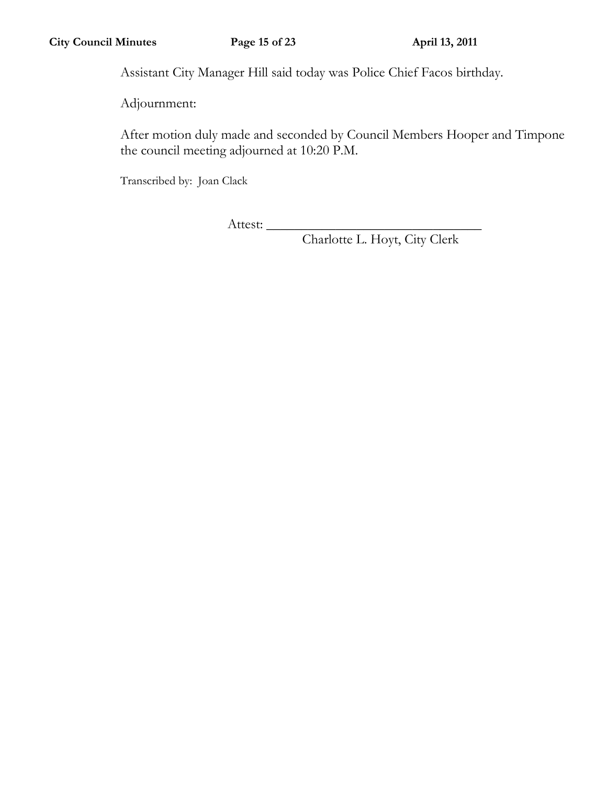Assistant City Manager Hill said today was Police Chief Facos birthday.

Adjournment:

After motion duly made and seconded by Council Members Hooper and Timpone the council meeting adjourned at 10:20 P.M.

Transcribed by: Joan Clack

Attest: \_\_\_\_\_\_\_\_\_\_\_\_\_\_\_\_\_\_\_\_\_\_\_\_\_\_\_\_\_\_\_

Charlotte L. Hoyt, City Clerk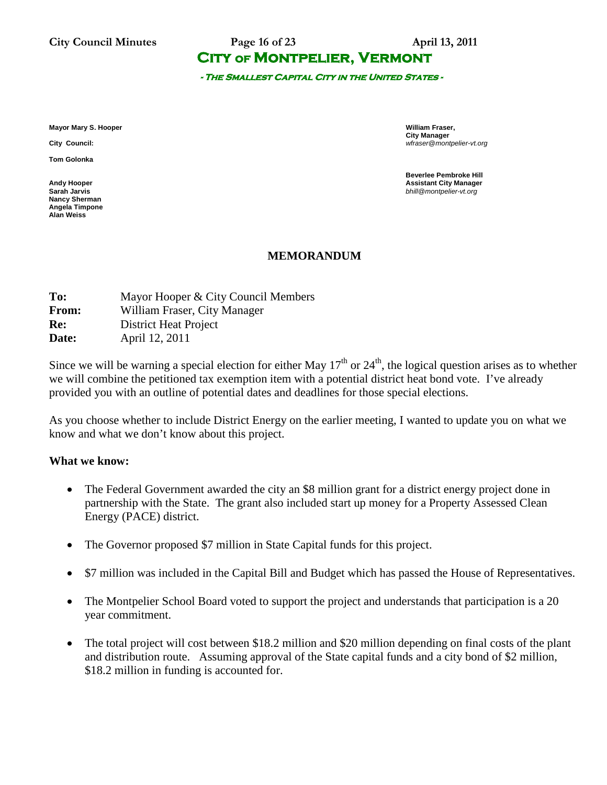**City Council Minutes Page 16 of 23 April 13, 2011**

## **City of Montpelier, Vermont**

**- The Smallest Capital City in the United States -** 

**Mayor Mary S. Hooper William Fraser,** 

**Tom Golonka**

**Nancy Sherman Angela Timpone Alan Weiss**

**City Manager City Council:** *wfraser@montpelier-vt.org*

**Beverlee Pembroke Hill Andy Hooper Assistant City Manager Sarah Jarvis** *bhill@montpelier-vt.org*

### **MEMORANDUM**

| Mayor Hooper & City Council Members |
|-------------------------------------|
| William Fraser, City Manager        |
| <b>District Heat Project</b>        |
| April 12, 2011                      |
|                                     |

Since we will be warning a special election for either May  $17<sup>th</sup>$  or  $24<sup>th</sup>$ , the logical question arises as to whether we will combine the petitioned tax exemption item with a potential district heat bond vote. I've already provided you with an outline of potential dates and deadlines for those special elections.

As you choose whether to include District Energy on the earlier meeting, I wanted to update you on what we know and what we don't know about this project.

### **What we know:**

- The Federal Government awarded the city an \$8 million grant for a district energy project done in partnership with the State. The grant also included start up money for a Property Assessed Clean Energy (PACE) district.
- The Governor proposed \$7 million in State Capital funds for this project.
- \$7 million was included in the Capital Bill and Budget which has passed the House of Representatives.
- The Montpelier School Board voted to support the project and understands that participation is a 20 year commitment.
- The total project will cost between \$18.2 million and \$20 million depending on final costs of the plant and distribution route. Assuming approval of the State capital funds and a city bond of \$2 million, \$18.2 million in funding is accounted for.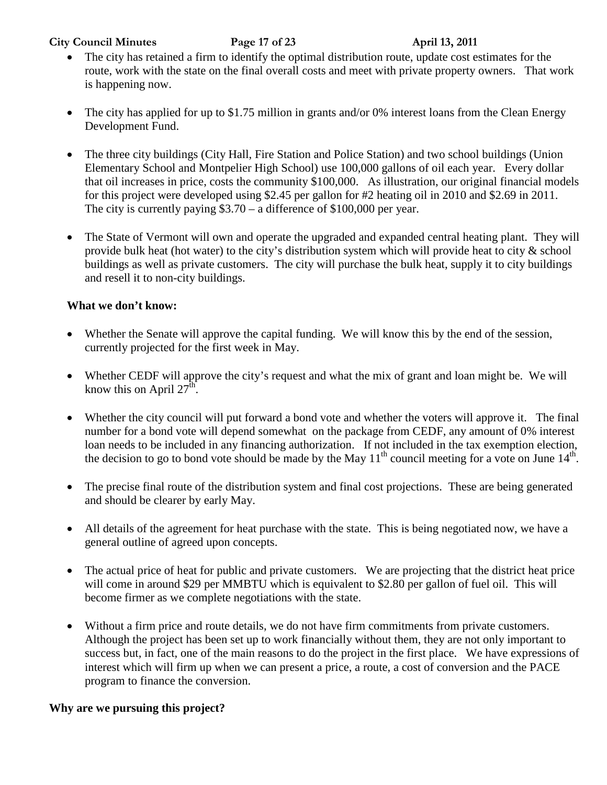### **City Council Minutes Page 17 of 23 April 13, 2011**

- The city has retained a firm to identify the optimal distribution route, update cost estimates for the route, work with the state on the final overall costs and meet with private property owners. That work is happening now.
- The city has applied for up to \$1.75 million in grants and/or 0% interest loans from the Clean Energy Development Fund.
- The three city buildings (City Hall, Fire Station and Police Station) and two school buildings (Union Elementary School and Montpelier High School) use 100,000 gallons of oil each year. Every dollar that oil increases in price, costs the community \$100,000. As illustration, our original financial models for this project were developed using \$2.45 per gallon for #2 heating oil in 2010 and \$2.69 in 2011. The city is currently paying \$3.70 – a difference of \$100,000 per year.
- The State of Vermont will own and operate the upgraded and expanded central heating plant. They will provide bulk heat (hot water) to the city's distribution system which will provide heat to city & school buildings as well as private customers. The city will purchase the bulk heat, supply it to city buildings and resell it to non-city buildings.

### **What we don't know:**

- Whether the Senate will approve the capital funding. We will know this by the end of the session, currently projected for the first week in May.
- Whether CEDF will approve the city's request and what the mix of grant and loan might be. We will know this on April  $27<sup>th</sup>$ .
- Whether the city council will put forward a bond vote and whether the voters will approve it. The final number for a bond vote will depend somewhat on the package from CEDF, any amount of 0% interest loan needs to be included in any financing authorization. If not included in the tax exemption election, the decision to go to bond vote should be made by the May  $11<sup>th</sup>$  council meeting for a vote on June  $14<sup>th</sup>$ .
- The precise final route of the distribution system and final cost projections. These are being generated and should be clearer by early May.
- All details of the agreement for heat purchase with the state. This is being negotiated now, we have a general outline of agreed upon concepts.
- The actual price of heat for public and private customers. We are projecting that the district heat price will come in around \$29 per MMBTU which is equivalent to \$2.80 per gallon of fuel oil. This will become firmer as we complete negotiations with the state.
- Without a firm price and route details, we do not have firm commitments from private customers. Although the project has been set up to work financially without them, they are not only important to success but, in fact, one of the main reasons to do the project in the first place. We have expressions of interest which will firm up when we can present a price, a route, a cost of conversion and the PACE program to finance the conversion.

## **Why are we pursuing this project?**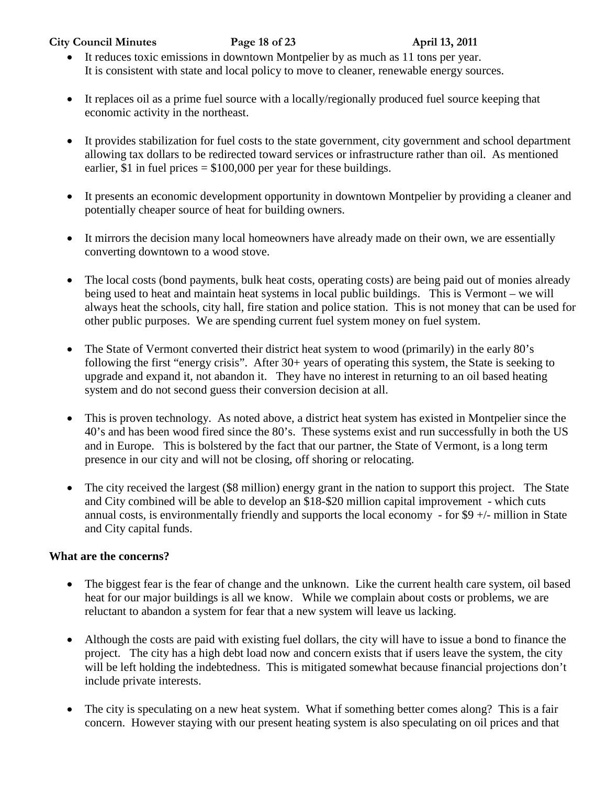**City Council Minutes Page 18 of 23 April 13, 2011**

- It reduces toxic emissions in downtown Montpelier by as much as 11 tons per year. It is consistent with state and local policy to move to cleaner, renewable energy sources.
- It replaces oil as a prime fuel source with a locally/regionally produced fuel source keeping that economic activity in the northeast.
- It provides stabilization for fuel costs to the state government, city government and school department allowing tax dollars to be redirected toward services or infrastructure rather than oil. As mentioned earlier, \$1 in fuel prices  $= $100,000$  per year for these buildings.
- It presents an economic development opportunity in downtown Montpelier by providing a cleaner and potentially cheaper source of heat for building owners.
- It mirrors the decision many local homeowners have already made on their own, we are essentially converting downtown to a wood stove.
- The local costs (bond payments, bulk heat costs, operating costs) are being paid out of monies already being used to heat and maintain heat systems in local public buildings. This is Vermont – we will always heat the schools, city hall, fire station and police station. This is not money that can be used for other public purposes. We are spending current fuel system money on fuel system.
- The State of Vermont converted their district heat system to wood (primarily) in the early 80's following the first "energy crisis". After 30+ years of operating this system, the State is seeking to upgrade and expand it, not abandon it. They have no interest in returning to an oil based heating system and do not second guess their conversion decision at all.
- This is proven technology. As noted above, a district heat system has existed in Montpelier since the 40's and has been wood fired since the 80's. These systems exist and run successfully in both the US and in Europe. This is bolstered by the fact that our partner, the State of Vermont, is a long term presence in our city and will not be closing, off shoring or relocating.
- The city received the largest (\$8 million) energy grant in the nation to support this project. The State and City combined will be able to develop an \$18-\$20 million capital improvement - which cuts annual costs, is environmentally friendly and supports the local economy - for  $$9 +/-$  million in State and City capital funds.

## **What are the concerns?**

- The biggest fear is the fear of change and the unknown. Like the current health care system, oil based heat for our major buildings is all we know. While we complain about costs or problems, we are reluctant to abandon a system for fear that a new system will leave us lacking.
- Although the costs are paid with existing fuel dollars, the city will have to issue a bond to finance the project. The city has a high debt load now and concern exists that if users leave the system, the city will be left holding the indebtedness. This is mitigated somewhat because financial projections don't include private interests.
- The city is speculating on a new heat system. What if something better comes along? This is a fair concern. However staying with our present heating system is also speculating on oil prices and that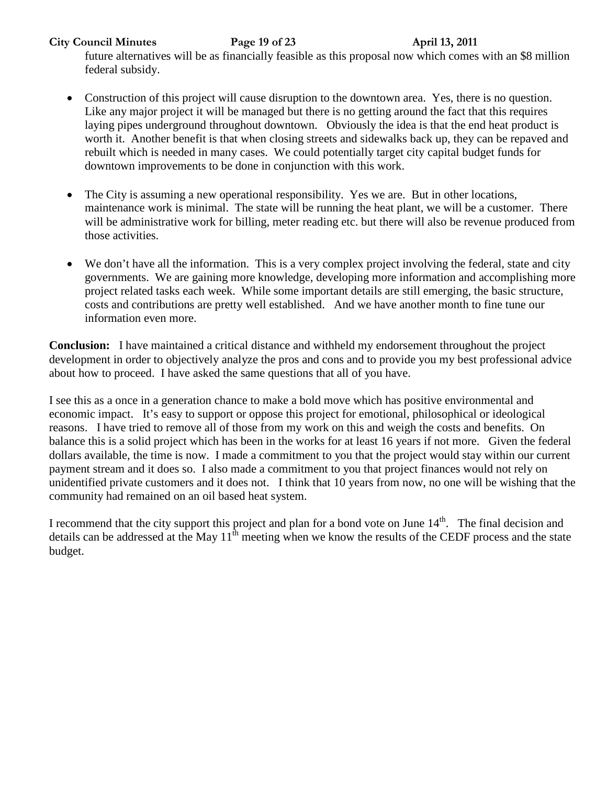**City Council Minutes Page 19 of 23 April 13, 2011**

future alternatives will be as financially feasible as this proposal now which comes with an \$8 million federal subsidy.

- Construction of this project will cause disruption to the downtown area. Yes, there is no question. Like any major project it will be managed but there is no getting around the fact that this requires laying pipes underground throughout downtown. Obviously the idea is that the end heat product is worth it. Another benefit is that when closing streets and sidewalks back up, they can be repaved and rebuilt which is needed in many cases. We could potentially target city capital budget funds for downtown improvements to be done in conjunction with this work.
- The City is assuming a new operational responsibility. Yes we are. But in other locations, maintenance work is minimal. The state will be running the heat plant, we will be a customer. There will be administrative work for billing, meter reading etc. but there will also be revenue produced from those activities.
- We don't have all the information. This is a very complex project involving the federal, state and city governments. We are gaining more knowledge, developing more information and accomplishing more project related tasks each week. While some important details are still emerging, the basic structure, costs and contributions are pretty well established. And we have another month to fine tune our information even more.

**Conclusion:** I have maintained a critical distance and withheld my endorsement throughout the project development in order to objectively analyze the pros and cons and to provide you my best professional advice about how to proceed. I have asked the same questions that all of you have.

I see this as a once in a generation chance to make a bold move which has positive environmental and economic impact. It's easy to support or oppose this project for emotional, philosophical or ideological reasons. I have tried to remove all of those from my work on this and weigh the costs and benefits. On balance this is a solid project which has been in the works for at least 16 years if not more. Given the federal dollars available, the time is now. I made a commitment to you that the project would stay within our current payment stream and it does so. I also made a commitment to you that project finances would not rely on unidentified private customers and it does not. I think that 10 years from now, no one will be wishing that the community had remained on an oil based heat system.

I recommend that the city support this project and plan for a bond vote on June  $14<sup>th</sup>$ . The final decision and details can be addressed at the May  $11<sup>th</sup>$  meeting when we know the results of the CEDF process and the state budget.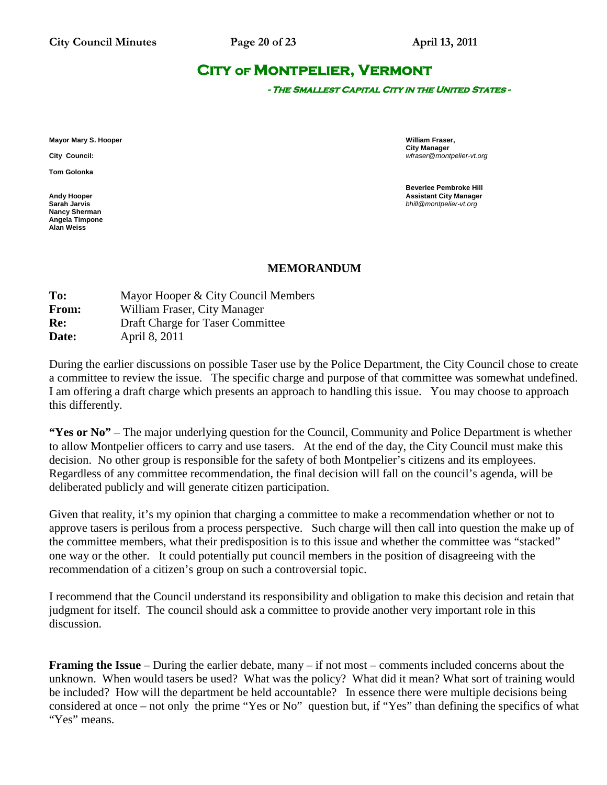# **City of Montpelier, Vermont**

**- The Smallest Capital City in the United States -** 

**Mayor Mary S. Hooper William Fraser,** 

**Tom Golonka**

**Nancy Sherman Angela Timpone Alan Weiss**

**City Manager City Council:** *wfraser@montpelier-vt.org*

**Beverlee Pembroke Hill Andy Hooper Assistant City Manager Sarah Jarvis** *bhill@montpelier-vt.org*

### **MEMORANDUM**

| To:   | Mayor Hooper & City Council Members |
|-------|-------------------------------------|
| From: | William Fraser, City Manager        |
| Re:   | Draft Charge for Taser Committee    |
| Date: | April 8, 2011                       |
|       |                                     |

During the earlier discussions on possible Taser use by the Police Department, the City Council chose to create a committee to review the issue. The specific charge and purpose of that committee was somewhat undefined. I am offering a draft charge which presents an approach to handling this issue. You may choose to approach this differently.

**"Yes or No"** – The major underlying question for the Council, Community and Police Department is whether to allow Montpelier officers to carry and use tasers. At the end of the day, the City Council must make this decision. No other group is responsible for the safety of both Montpelier's citizens and its employees. Regardless of any committee recommendation, the final decision will fall on the council's agenda, will be deliberated publicly and will generate citizen participation.

Given that reality, it's my opinion that charging a committee to make a recommendation whether or not to approve tasers is perilous from a process perspective. Such charge will then call into question the make up of the committee members, what their predisposition is to this issue and whether the committee was "stacked" one way or the other. It could potentially put council members in the position of disagreeing with the recommendation of a citizen's group on such a controversial topic.

I recommend that the Council understand its responsibility and obligation to make this decision and retain that judgment for itself. The council should ask a committee to provide another very important role in this discussion.

**Framing the Issue** – During the earlier debate, many – if not most – comments included concerns about the unknown. When would tasers be used? What was the policy? What did it mean? What sort of training would be included? How will the department be held accountable? In essence there were multiple decisions being considered at once – not only the prime "Yes or No" question but, if "Yes" than defining the specifics of what "Yes" means.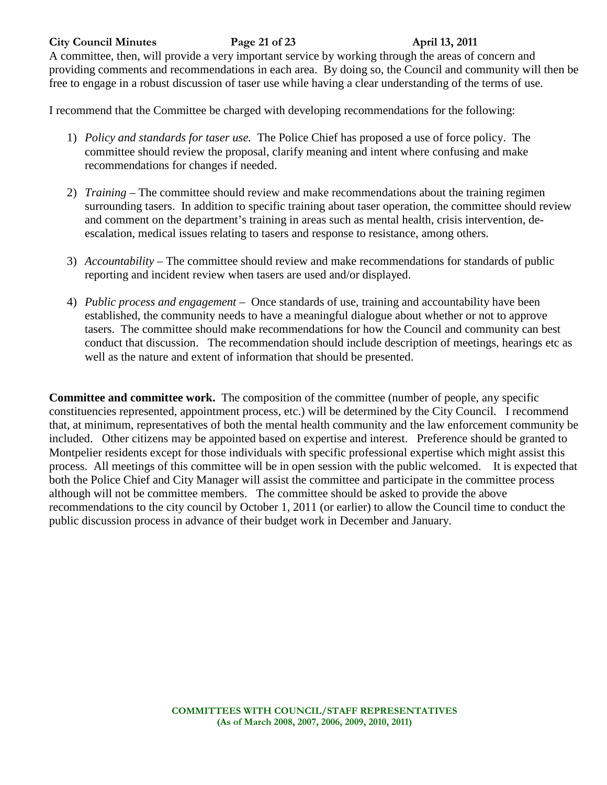### **City Council Minutes Page 21 of 23 April 13, 2011**

A committee, then, will provide a very important service by working through the areas of concern and providing comments and recommendations in each area. By doing so, the Council and community will then be free to engage in a robust discussion of taser use while having a clear understanding of the terms of use.

I recommend that the Committee be charged with developing recommendations for the following:

- 1) *Policy and standards for taser use.* The Police Chief has proposed a use of force policy. The committee should review the proposal, clarify meaning and intent where confusing and make recommendations for changes if needed.
- 2) *Training* The committee should review and make recommendations about the training regimen surrounding tasers. In addition to specific training about taser operation, the committee should review and comment on the department's training in areas such as mental health, crisis intervention, deescalation, medical issues relating to tasers and response to resistance, among others.
- 3) *Accountability* The committee should review and make recommendations for standards of public reporting and incident review when tasers are used and/or displayed.
- 4) *Public process and engagement* Once standards of use, training and accountability have been established, the community needs to have a meaningful dialogue about whether or not to approve tasers. The committee should make recommendations for how the Council and community can best conduct that discussion. The recommendation should include description of meetings, hearings etc as well as the nature and extent of information that should be presented.

**Committee and committee work.** The composition of the committee (number of people, any specific constituencies represented, appointment process, etc.) will be determined by the City Council. I recommend that, at minimum, representatives of both the mental health community and the law enforcement community be included. Other citizens may be appointed based on expertise and interest. Preference should be granted to Montpelier residents except for those individuals with specific professional expertise which might assist this process. All meetings of this committee will be in open session with the public welcomed. It is expected that both the Police Chief and City Manager will assist the committee and participate in the committee process although will not be committee members. The committee should be asked to provide the above recommendations to the city council by October 1, 2011 (or earlier) to allow the Council time to conduct the public discussion process in advance of their budget work in December and January.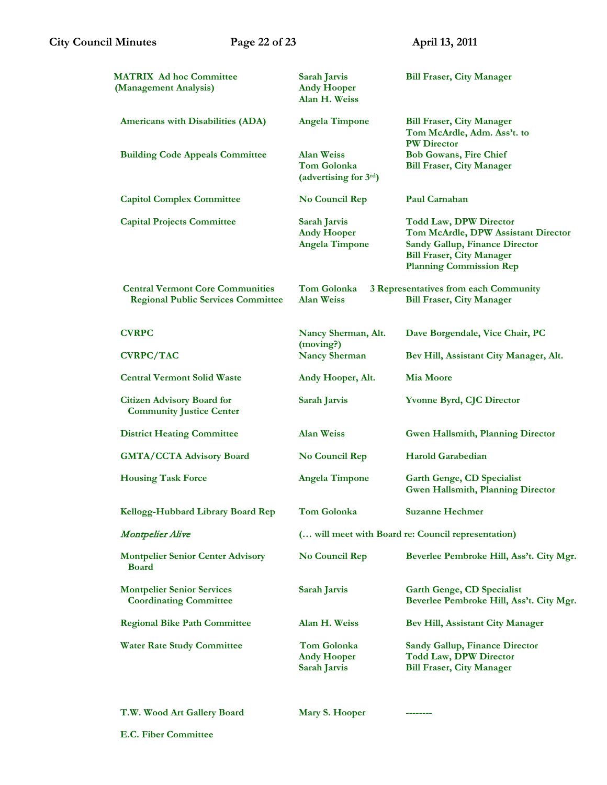| <b>MATRIX Ad hoc Committee</b><br>(Management Analysis)                              | Sarah Jarvis<br><b>Andy Hooper</b><br>Alan H. Weiss                | <b>Bill Fraser, City Manager</b>                                                                                                                                                    |
|--------------------------------------------------------------------------------------|--------------------------------------------------------------------|-------------------------------------------------------------------------------------------------------------------------------------------------------------------------------------|
| Americans with Disabilities (ADA)                                                    | <b>Angela Timpone</b>                                              | <b>Bill Fraser, City Manager</b><br>Tom McArdle, Adm. Ass't. to<br><b>PW Director</b>                                                                                               |
| <b>Building Code Appeals Committee</b>                                               | <b>Alan Weiss</b><br><b>Tom Golonka</b><br>(advertising for 3rd)   | <b>Bob Gowans, Fire Chief</b><br><b>Bill Fraser, City Manager</b>                                                                                                                   |
| <b>Capitol Complex Committee</b>                                                     | No Council Rep                                                     | Paul Carnahan                                                                                                                                                                       |
| <b>Capital Projects Committee</b>                                                    | <b>Sarah Jarvis</b><br><b>Andy Hooper</b><br><b>Angela Timpone</b> | <b>Todd Law, DPW Director</b><br>Tom McArdle, DPW Assistant Director<br><b>Sandy Gallup, Finance Director</b><br><b>Bill Fraser, City Manager</b><br><b>Planning Commission Rep</b> |
| <b>Central Vermont Core Communities</b><br><b>Regional Public Services Committee</b> | Tom Golonka<br><b>Alan Weiss</b>                                   | 3 Representatives from each Community<br><b>Bill Fraser, City Manager</b>                                                                                                           |
| <b>CVRPC</b>                                                                         | Nancy Sherman, Alt.<br>(moving?)                                   | Dave Borgendale, Vice Chair, PC                                                                                                                                                     |
| <b>CVRPC/TAC</b>                                                                     | <b>Nancy Sherman</b>                                               | Bev Hill, Assistant City Manager, Alt.                                                                                                                                              |
| <b>Central Vermont Solid Waste</b>                                                   | Andy Hooper, Alt.                                                  | <b>Mia Moore</b>                                                                                                                                                                    |
| <b>Citizen Advisory Board for</b><br><b>Community Justice Center</b>                 | Sarah Jarvis                                                       | <b>Yvonne Byrd, CJC Director</b>                                                                                                                                                    |
| <b>District Heating Committee</b>                                                    | <b>Alan Weiss</b>                                                  | <b>Gwen Hallsmith, Planning Director</b>                                                                                                                                            |
| <b>GMTA/CCTA Advisory Board</b>                                                      | No Council Rep                                                     | <b>Harold Garabedian</b>                                                                                                                                                            |
| <b>Housing Task Force</b>                                                            | <b>Angela Timpone</b>                                              | <b>Garth Genge, CD Specialist</b><br><b>Gwen Hallsmith, Planning Director</b>                                                                                                       |
| Kellogg-Hubbard Library Board Rep                                                    | Tom Golonka                                                        | <b>Suzanne Hechmer</b>                                                                                                                                                              |
| <b>Montpelier Alive</b>                                                              | ( will meet with Board re: Council representation)                 |                                                                                                                                                                                     |
| <b>Montpelier Senior Center Advisory</b><br><b>Board</b>                             | No Council Rep                                                     | Beverlee Pembroke Hill, Ass't. City Mgr.                                                                                                                                            |
| <b>Montpelier Senior Services</b><br><b>Coordinating Committee</b>                   | <b>Sarah Jarvis</b>                                                | <b>Garth Genge, CD Specialist</b><br>Beverlee Pembroke Hill, Ass't. City Mgr.                                                                                                       |
| <b>Regional Bike Path Committee</b>                                                  | Alan H. Weiss                                                      | <b>Bev Hill, Assistant City Manager</b>                                                                                                                                             |
| <b>Water Rate Study Committee</b>                                                    | <b>Tom Golonka</b><br><b>Andy Hooper</b><br>Sarah Jarvis           | <b>Sandy Gallup, Finance Director</b><br><b>Todd Law, DPW Director</b><br><b>Bill Fraser, City Manager</b>                                                                          |
|                                                                                      |                                                                    |                                                                                                                                                                                     |

**T.W. Wood Art Gallery Board Mary S. Hooper --------**